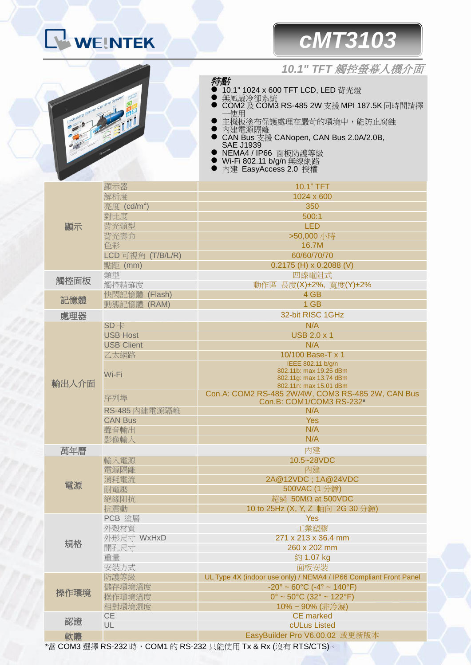### **WEINTEK**

# *cMT3103*

#### *10.1" TFT* 觸控螢幕人機介面



特點 10.1" 1024 x 600 TFT LCD, LED 背光燈

- 無風扇冷卻系統
- COM2 及 COM3 RS-485 2W 支援 MPI 187.5K 同時間請擇 一使用
- 主機板塗布保護處理在嚴苛的環境中,能防止腐蝕
- 內建電源隔離
- CAN Bus 支援 CANopen, CAN Bus 2.0A/2.0B, SAE J1939
- NEMA4 / IP66 面板防護等級
- Wi-Fi 802.11 b/g/n 無線網路
- 內建 EasyAccess 2.0 授權

| 顯示    | 顯示器                     | 10.1" TFT                                                          |
|-------|-------------------------|--------------------------------------------------------------------|
|       | 解析度                     | 1024 x 600                                                         |
|       | 亮度 (cd/m <sup>2</sup> ) | 350                                                                |
|       | 對比度                     | 500:1                                                              |
|       | 背光類型                    | <b>LED</b>                                                         |
|       | 背光壽命                    | >50,000 小時                                                         |
|       | 色彩                      | 16.7M                                                              |
|       | LCD 可視角 (T/B/L/R)       | 60/60/70/70                                                        |
|       | 點距 (mm)                 | $0.2175$ (H) x 0.2088 (V)                                          |
| 觸控面板  | 類型                      | 四線電阻式                                                              |
|       | 觸控精確度                   | 動作區 長度(X)±2%, 寬度(Y)±2%                                             |
|       | 快閃記憶體 (Flash)           | 4 GB                                                               |
| 記憶體   | 動態記憶體 (RAM)             | 1 GB                                                               |
| 處理器   |                         | 32-bit RISC 1GHz                                                   |
| 輸出入介面 | $SD +$                  | N/A                                                                |
|       | <b>USB Host</b>         | <b>USB 2.0 x 1</b>                                                 |
|       | <b>USB Client</b>       | N/A                                                                |
|       | 乙太網路                    | 10/100 Base-T x 1                                                  |
|       |                         | IEEE 802.11 b/g/n                                                  |
|       | Wi-Fi                   | 802.11b: max 19.25 dBm                                             |
|       |                         | 802.11g: max 13.74 dBm<br>802.11n: max 15.01 dBm                   |
|       |                         | Con.A: COM2 RS-485 2W/4W, COM3 RS-485 2W, CAN Bus                  |
|       | 序列埠                     | Con.B: COM1/COM3 RS-232*                                           |
|       | RS-485 內建電源隔離           | N/A                                                                |
|       | <b>CAN Bus</b>          | <b>Yes</b>                                                         |
|       | 聲音輸出                    | N/A                                                                |
|       | 影像輸入                    | N/A                                                                |
| 萬年曆   |                         | 內建                                                                 |
| 電源    | 輸入電源                    | 10.5~28VDC                                                         |
|       | 電源隔離                    | 內建                                                                 |
|       | 消耗電流                    | 2A@12VDC; 1A@24VDC                                                 |
|       | 耐電壓                     | 500VAC (1 分鐘)                                                      |
|       | 絕緣阻抗                    | 超過 50MΩ at 500VDC                                                  |
|       | 抗震動                     | 10 to 25Hz (X, Y, Z 軸向 2G 30 分鐘)                                   |
| 規格    | PCB 塗層                  | <b>Yes</b>                                                         |
|       | 外殼材質                    | 工業塑膠                                                               |
|       | 外形尺寸 WxHxD              | 271 x 213 x 36.4 mm                                                |
|       | 開孔尺寸                    | 260 x 202 mm                                                       |
|       | 重量                      | 約 1.07 kg                                                          |
|       | 安裝方式                    | 面板安裝                                                               |
| 操作環境  | 防護等級                    | UL Type 4X (indoor use only) / NEMA4 / IP66 Compliant Front Panel  |
|       | 儲存環境溫度                  | $-20^{\circ} \sim 60^{\circ}$ C ( $-4^{\circ} \sim 140^{\circ}$ F) |
|       | 操作環境溫度                  | $0^{\circ}$ ~ 50 $^{\circ}$ C (32 $^{\circ}$ ~ 122 $^{\circ}$ F)   |
|       | 相對環境濕度                  | 10%~90% (非冷凝)                                                      |
|       | <b>CE</b>               | <b>CE</b> marked                                                   |
| 認證    | UL                      | cULus Listed                                                       |
| 軟體    |                         | EasyBuilder Pro V6.00.02 或更新版本                                     |
|       |                         |                                                                    |

\*當 COM3 選擇 RS-232 時,COM1 的 RS-232 只能使用 Tx & Rx (沒有 RTS/CTS)。